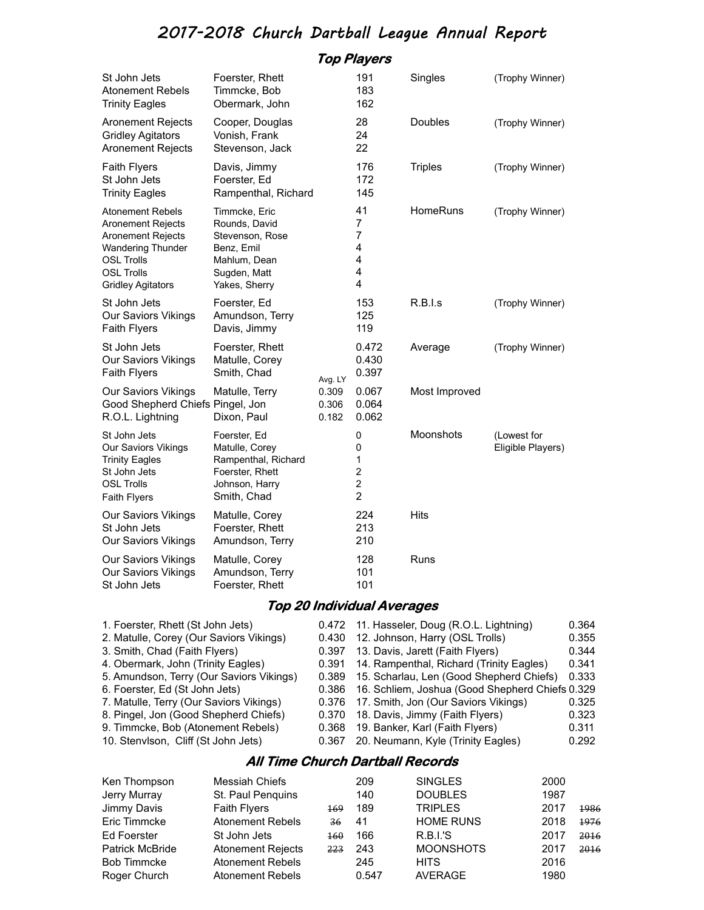## 2017-2018 Church Dartball League Annual Report

**Top Players**

|                                                                                                                                                                                                                                                                                                                                                                                                    | All Time Church Dartball Records                                                                                 |                                                                                        |                                                                              |                                                                                                                                                                                                                                                                                                                                                                                                                                                                                              |                                  |  |  |
|----------------------------------------------------------------------------------------------------------------------------------------------------------------------------------------------------------------------------------------------------------------------------------------------------------------------------------------------------------------------------------------------------|------------------------------------------------------------------------------------------------------------------|----------------------------------------------------------------------------------------|------------------------------------------------------------------------------|----------------------------------------------------------------------------------------------------------------------------------------------------------------------------------------------------------------------------------------------------------------------------------------------------------------------------------------------------------------------------------------------------------------------------------------------------------------------------------------------|----------------------------------|--|--|
| 1. Foerster, Rhett (St John Jets)<br>2. Matulle, Corey (Our Saviors Vikings)<br>3. Smith, Chad (Faith Flyers)<br>4. Obermark, John (Trinity Eagles)<br>5. Amundson, Terry (Our Saviors Vikings)<br>6. Foerster, Ed (St John Jets)<br>7. Matulle, Terry (Our Saviors Vikings)<br>8. Pingel, Jon (Good Shepherd Chiefs)<br>9. Timmcke, Bob (Atonement Rebels)<br>10. Stenvlson, Cliff (St John Jets) |                                                                                                                  | 0.472<br>0.430<br>0.397<br>0.391<br>0.389<br>0.386<br>0.376<br>0.370<br>0.368<br>0.367 | <b>Top 20 Individual Averages</b>                                            | 11. Hasseler, Doug (R.O.L. Lightning)<br>0.364<br>12. Johnson, Harry (OSL Trolls)<br>0.355<br>13. Davis, Jarett (Faith Flyers)<br>0.344<br>14. Rampenthal, Richard (Trinity Eagles)<br>0.341<br>15. Scharlau, Len (Good Shepherd Chiefs)<br>0.333<br>16. Schliem, Joshua (Good Shepherd Chiefs 0.329<br>17. Smith, Jon (Our Saviors Vikings)<br>0.325<br>0.323<br>18. Davis, Jimmy (Faith Flyers)<br>19. Banker, Karl (Faith Flyers)<br>0.311<br>20. Neumann, Kyle (Trinity Eagles)<br>0.292 |                                  |  |  |
| <b>Our Saviors Vikings</b><br>Our Saviors Vikings<br>St John Jets                                                                                                                                                                                                                                                                                                                                  | Matulle, Corey<br>Amundson, Terry<br>Foerster, Rhett                                                             |                                                                                        | 128<br>101<br>101                                                            | Runs                                                                                                                                                                                                                                                                                                                                                                                                                                                                                         |                                  |  |  |
| <b>Our Saviors Vikings</b><br>St John Jets<br><b>Our Saviors Vikings</b>                                                                                                                                                                                                                                                                                                                           | Matulle, Corey<br>Foerster, Rhett<br>Amundson, Terry                                                             |                                                                                        | 224<br>213<br>210                                                            | Hits                                                                                                                                                                                                                                                                                                                                                                                                                                                                                         |                                  |  |  |
| St John Jets<br>Our Saviors Vikings<br><b>Trinity Eagles</b><br>St John Jets<br><b>OSL Trolls</b><br><b>Faith Flyers</b>                                                                                                                                                                                                                                                                           | Foerster, Ed<br>Matulle, Corey<br>Rampenthal, Richard<br>Foerster, Rhett<br>Johnson, Harry<br>Smith, Chad        |                                                                                        | 0<br>0<br>1<br>$\overline{\mathbf{c}}$<br>$\boldsymbol{2}$<br>$\overline{2}$ | Moonshots                                                                                                                                                                                                                                                                                                                                                                                                                                                                                    | (Lowest for<br>Eligible Players) |  |  |
| Our Saviors Vikings<br>Good Shepherd Chiefs Pingel, Jon<br>R.O.L. Lightning                                                                                                                                                                                                                                                                                                                        | Matulle, Terry<br>Dixon, Paul                                                                                    | 0.309<br>0.306<br>0.182                                                                | 0.067<br>0.064<br>0.062                                                      | Most Improved                                                                                                                                                                                                                                                                                                                                                                                                                                                                                |                                  |  |  |
| St John Jets<br>Our Saviors Vikings<br><b>Faith Flyers</b>                                                                                                                                                                                                                                                                                                                                         | Foerster, Rhett<br>Matulle, Corey<br>Smith, Chad                                                                 | Avg. LY                                                                                | 0.472<br>0.430<br>0.397                                                      | Average                                                                                                                                                                                                                                                                                                                                                                                                                                                                                      | (Trophy Winner)                  |  |  |
| St John Jets<br>Our Saviors Vikings<br><b>Faith Flyers</b>                                                                                                                                                                                                                                                                                                                                         | Foerster, Ed<br>Amundson, Terry<br>Davis, Jimmy                                                                  |                                                                                        | 153<br>125<br>119                                                            | R.B.I.s                                                                                                                                                                                                                                                                                                                                                                                                                                                                                      | (Trophy Winner)                  |  |  |
| <b>Atonement Rebels</b><br><b>Aronement Rejects</b><br><b>Aronement Rejects</b><br><b>Wandering Thunder</b><br><b>OSL Trolls</b><br><b>OSL Trolls</b><br><b>Gridley Agitators</b>                                                                                                                                                                                                                  | Timmcke, Eric<br>Rounds, David<br>Stevenson, Rose<br>Benz, Emil<br>Mahlum, Dean<br>Sugden, Matt<br>Yakes, Sherry |                                                                                        | 41<br>$\overline{7}$<br>$\overline{7}$<br>4<br>4<br>4<br>4                   | HomeRuns                                                                                                                                                                                                                                                                                                                                                                                                                                                                                     | (Trophy Winner)                  |  |  |
| <b>Faith Flyers</b><br>St John Jets<br><b>Trinity Eagles</b>                                                                                                                                                                                                                                                                                                                                       | Davis, Jimmy<br>Foerster, Ed<br>Rampenthal, Richard                                                              |                                                                                        | 176<br>172<br>145                                                            | <b>Triples</b>                                                                                                                                                                                                                                                                                                                                                                                                                                                                               | (Trophy Winner)                  |  |  |
| <b>Aronement Rejects</b><br><b>Gridley Agitators</b><br><b>Aronement Rejects</b>                                                                                                                                                                                                                                                                                                                   | Cooper, Douglas<br>Vonish, Frank<br>Stevenson, Jack                                                              |                                                                                        | 28<br>24<br>22                                                               | Doubles                                                                                                                                                                                                                                                                                                                                                                                                                                                                                      | (Trophy Winner)                  |  |  |
| St John Jets<br><b>Atonement Rebels</b><br><b>Trinity Eagles</b>                                                                                                                                                                                                                                                                                                                                   | Foerster, Rhett<br>Timmcke, Bob<br>Obermark, John                                                                |                                                                                        | 191<br>183<br>162                                                            | Singles                                                                                                                                                                                                                                                                                                                                                                                                                                                                                      | (Trophy Winner)                  |  |  |

| Ken Thompson       | Messiah Chiefs           |     | 209   | <b>SINGLES</b>   | 2000 |      |
|--------------------|--------------------------|-----|-------|------------------|------|------|
| Jerry Murray       | St. Paul Penquins        |     | 140   | <b>DOUBLES</b>   | 1987 |      |
| Jimmy Davis        | <b>Faith Flyers</b>      | 169 | 189   | <b>TRIPLES</b>   | 2017 | 1986 |
| Eric Timmcke       | <b>Atonement Rebels</b>  | 36  | 41    | <b>HOME RUNS</b> | 2018 | 1976 |
| <b>Ed Foerster</b> | St John Jets             | 160 | 166   | R.B.I.S          | 2017 | 2016 |
| Patrick McBride    | <b>Atonement Rejects</b> | 223 | 243   | <b>MOONSHOTS</b> | 2017 | 2016 |
| <b>Bob Timmcke</b> | <b>Atonement Rebels</b>  |     | 245   | <b>HITS</b>      | 2016 |      |
| Roger Church       | <b>Atonement Rebels</b>  |     | 0.547 | <b>AVERAGE</b>   | 1980 |      |